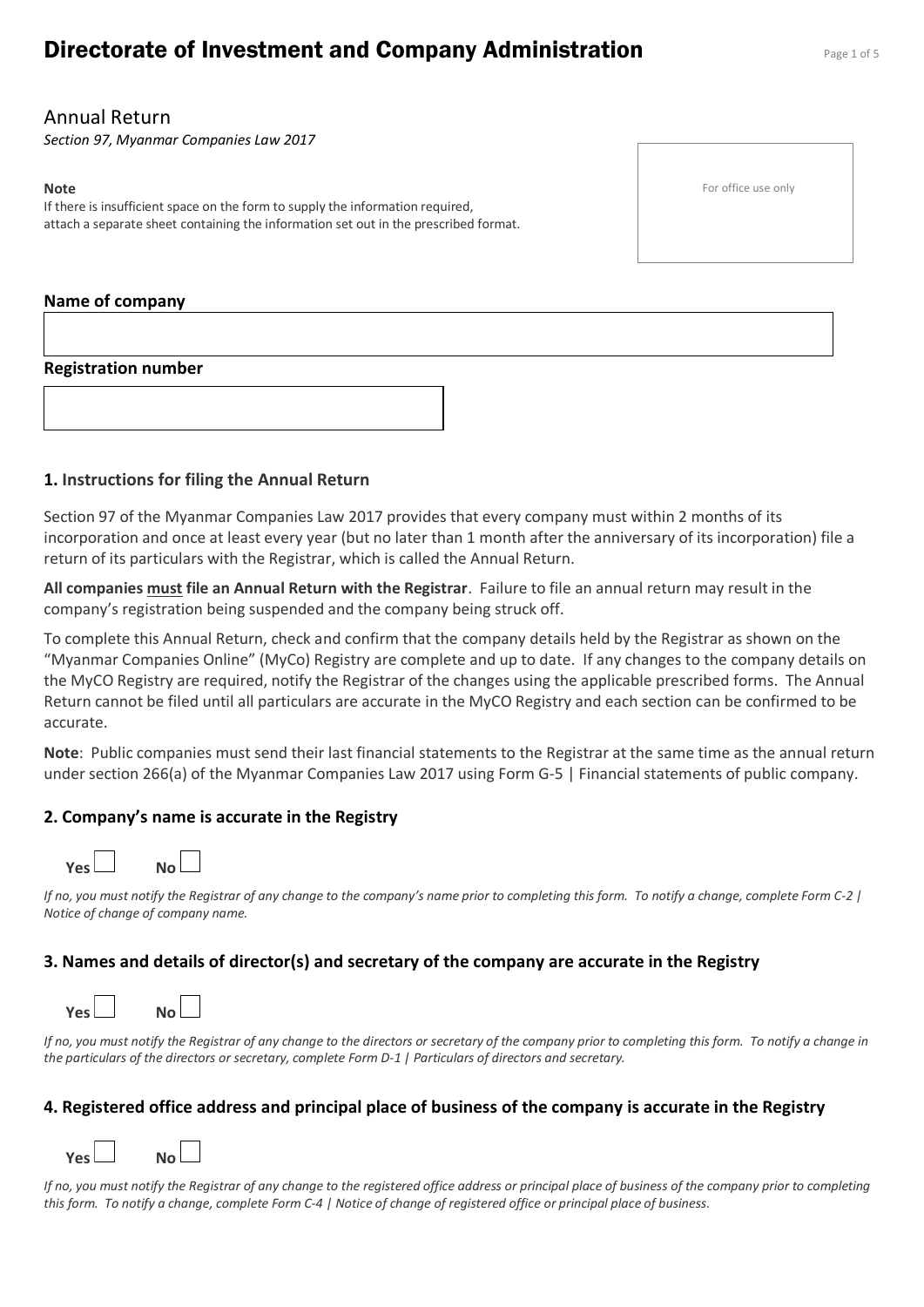# **Directorate of Investment and Company Administration** Page 1 of 5

# Annual Return

*Section 97, Myanmar Companies Law 2017*

#### **Note**

If there is insufficient space on the form to supply the information required, attach a separate sheet containing the information set out in the prescribed format.

#### **Name of company**

#### **Registration number**

#### **1. Instructions for filing the Annual Return**

Section 97 of the Myanmar Companies Law 2017 provides that every company must within 2 months of its incorporation and once at least every year (but no later than 1 month after the anniversary of its incorporation) file a return of its particulars with the Registrar, which is called the Annual Return.

**All companies must file an Annual Return with the Registrar**. Failure to file an annual return may result in the company's registration being suspended and the company being struck off.

To complete this Annual Return, check and confirm that the company details held by the Registrar as shown on the "Myanmar Companies Online" (MyCo) Registry are complete and up to date. If any changes to the company details on the MyCO Registry are required, notify the Registrar of the changes using the applicable prescribed forms. The Annual Return cannot be filed until all particulars are accurate in the MyCO Registry and each section can be confirmed to be accurate.

**Note**: Public companies must send their last financial statements to the Registrar at the same time as the annual return under section 266(a) of the Myanmar Companies Law 2017 using Form G-5 | Financial statements of public company.

# **2. Company's name is accurate in the Registry**



*If no, you must notify the Registrar of any change to the company's name prior to completing this form. To notify a change, complete Form C-2 | Notice of change of company name.*

#### **3. Names and details of director(s) and secretary of the company are accurate in the Registry**



*If no, you must notify the Registrar of any change to the directors or secretary of the company prior to completing this form. To notify a change in the particulars of the directors or secretary, complete Form D-1 | Particulars of directors and secretary.*

# **4. Registered office address and principal place of business of the company is accurate in the Registry**



*If no, you must notify the Registrar of any change to the registered office address or principal place of business of the company prior to completing this form. To notify a change, complete Form C-4 | Notice of change of registered office or principal place of business.* 

For office use only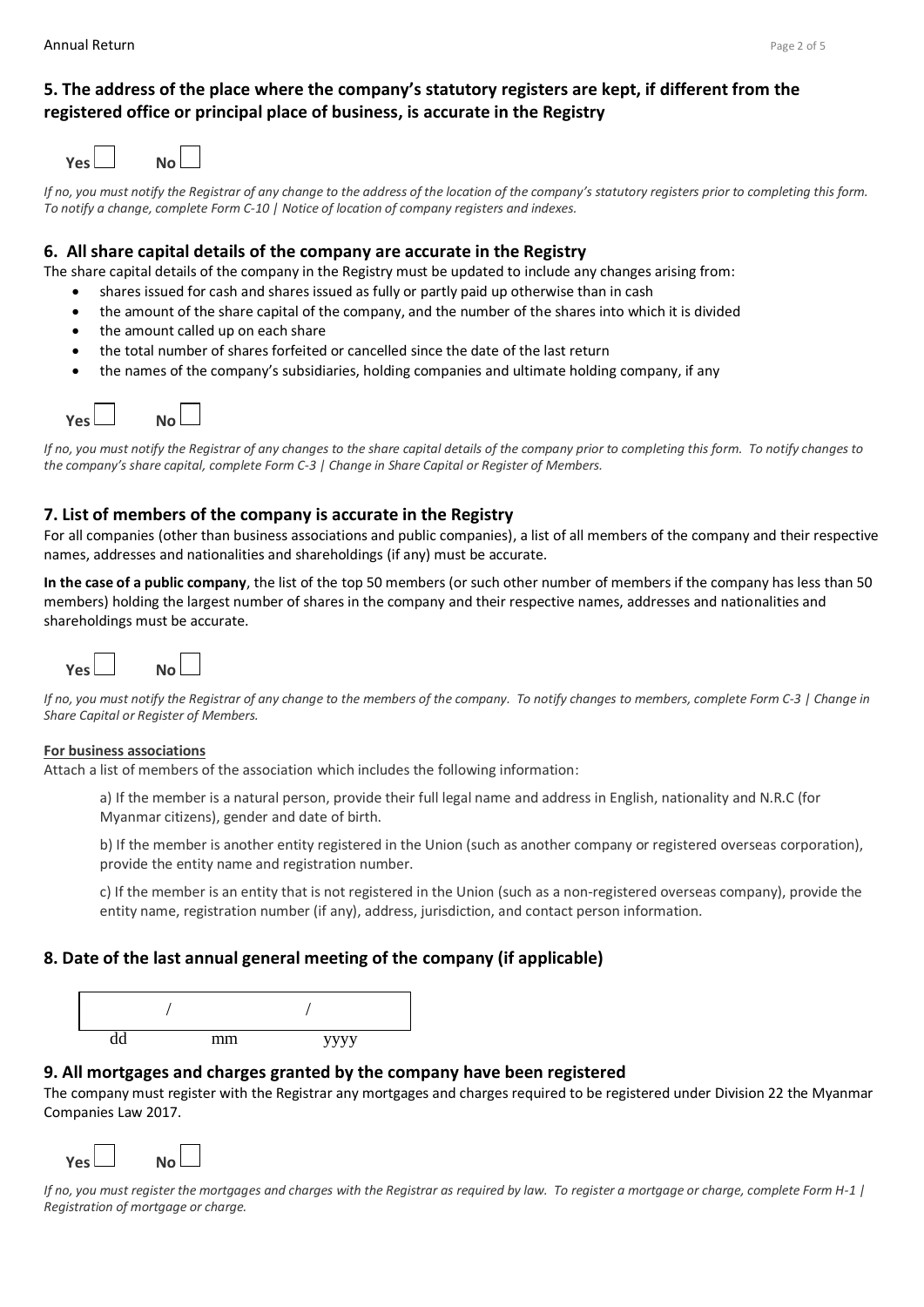# **5. The address of the place where the company's statutory registers are kept, if different from the registered office or principal place of business, is accurate in the Registry**

| <b>Yesl</b> | No l |
|-------------|------|
|             |      |

*If no, you must notify the Registrar of any change to the address of the location of the company's statutory registers prior to completing this form. To notify a change, complete Form C-10 | Notice of location of company registers and indexes.*

#### **6. All share capital details of the company are accurate in the Registry**

The share capital details of the company in the Registry must be updated to include any changes arising from:

- shares issued for cash and shares issued as fully or partly paid up otherwise than in cash
- the amount of the share capital of the company, and the number of the shares into which it is divided
- the amount called up on each share
- the total number of shares forfeited or cancelled since the date of the last return
- the names of the company's subsidiaries, holding companies and ultimate holding company, if any



*If no, you must notify the Registrar of any changes to the share capital details of the company prior to completing this form. To notify changes to the company's share capital, complete Form C-3 | Change in Share Capital or Register of Members.*

#### **7. List of members of the company is accurate in the Registry**

For all companies (other than business associations and public companies), a list of all members of the company and their respective names, addresses and nationalities and shareholdings (if any) must be accurate.

**In the case of a public company**, the list of the top 50 members (or such other number of members if the company has less than 50 members) holding the largest number of shares in the company and their respective names, addresses and nationalities and shareholdings must be accurate.



*If no, you must notify the Registrar of any change to the members of the company. To notify changes to members, complete Form C-3 | Change in Share Capital or Register of Members.*

#### **For business associations**

Attach a list of members of the association which includes the following information:

a) If the member is a natural person, provide their full legal name and address in English, nationality and N.R.C (for Myanmar citizens), gender and date of birth.

b) If the member is another entity registered in the Union (such as another company or registered overseas corporation), provide the entity name and registration number.

c) If the member is an entity that is not registered in the Union (such as a non-registered overseas company), provide the entity name, registration number (if any), address, jurisdiction, and contact person information.

# **8. Date of the last annual general meeting of the company (if applicable)**



#### **9. All mortgages and charges granted by the company have been registered**

The company must register with the Registrar any mortgages and charges required to be registered under Division 22 the Myanmar Companies Law 2017.



*If no, you must register the mortgages and charges with the Registrar as required by law. To register a mortgage or charge, complete Form H-1 | Registration of mortgage or charge.*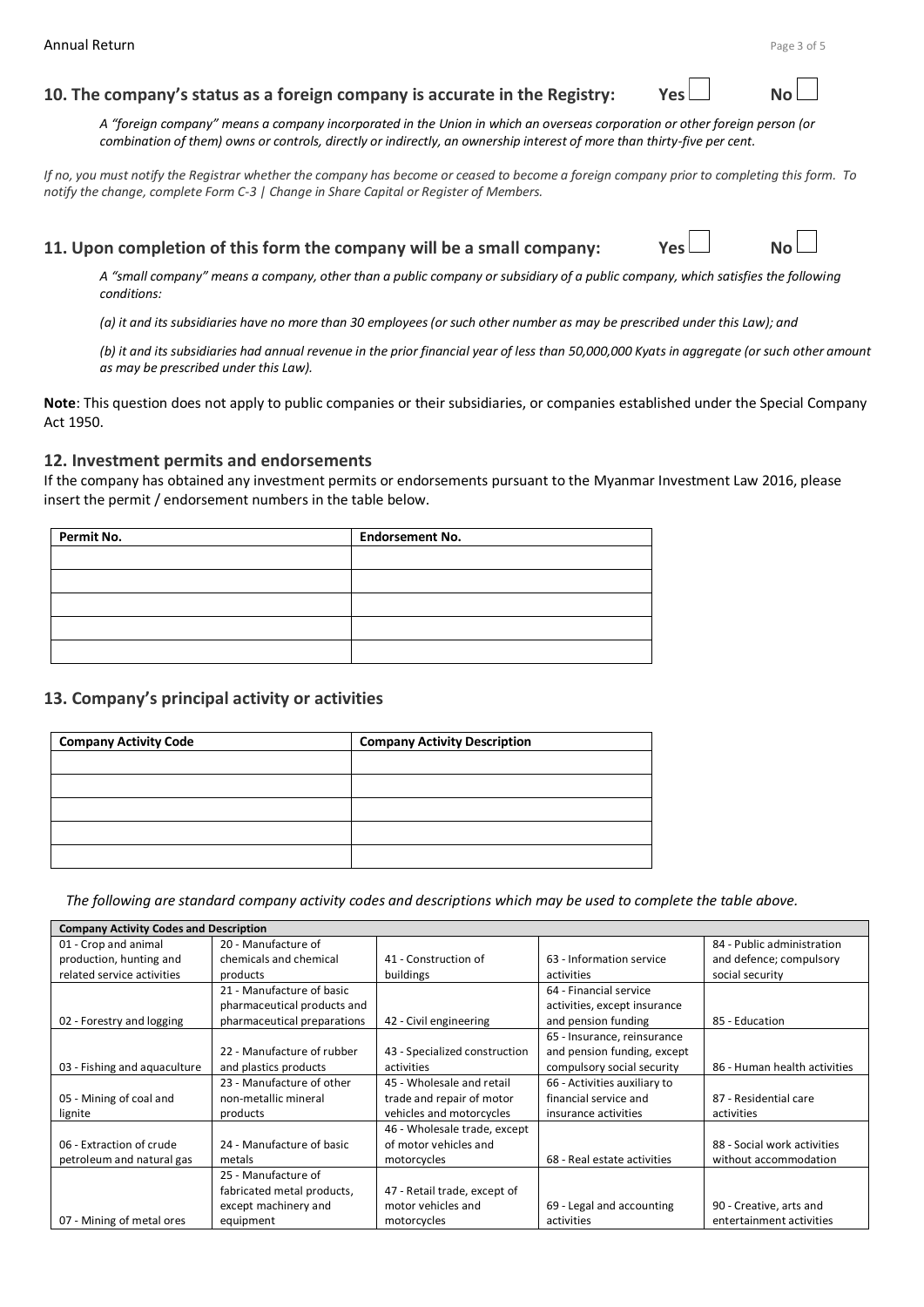#### **10. The company's status as a foreign company is accurate in the Registry:**

*A "foreign company" means a company incorporated in the Union in which an overseas corporation or other foreign person (or combination of them) owns or controls, directly or indirectly, an ownership interest of more than thirty-five per cent.*

*If no, you must notify the Registrar whether the company has become or ceased to become a foreign company prior to completing this form. To notify the change, complete Form C-3 | Change in Share Capital or Register of Members.*

#### **11. Upon completion of this form the company will be a small company: Yes**  $\Box$  **No**



*A "small company" means a company, other than a public company or subsidiary of a public company, which satisfies the following conditions:* 

*(a) it and its subsidiaries have no more than 30 employees (or such other number as may be prescribed under this Law); and*

*(b) it and its subsidiaries had annual revenue in the prior financial year of less than 50,000,000 Kyats in aggregate (or such other amount as may be prescribed under this Law).*

**Note**: This question does not apply to public companies or their subsidiaries, or companies established under the Special Company Act 1950.

#### **12. Investment permits and endorsements**

If the company has obtained any investment permits or endorsements pursuant to the Myanmar Investment Law 2016, please insert the permit / endorsement numbers in the table below.

| Permit No. | <b>Endorsement No.</b> |  |
|------------|------------------------|--|
|            |                        |  |
|            |                        |  |
|            |                        |  |
|            |                        |  |
|            |                        |  |

# **13. Company's principal activity or activities**

| <b>Company Activity Code</b> | <b>Company Activity Description</b> |
|------------------------------|-------------------------------------|
|                              |                                     |
|                              |                                     |
|                              |                                     |
|                              |                                     |
|                              |                                     |

*The following are standard company activity codes and descriptions which may be used to complete the table above.* 

| <b>Company Activity Codes and Description</b> |                             |                               |                              |                              |
|-----------------------------------------------|-----------------------------|-------------------------------|------------------------------|------------------------------|
| 01 - Crop and animal                          | 20 - Manufacture of         |                               |                              | 84 - Public administration   |
| production, hunting and                       | chemicals and chemical      | 41 - Construction of          | 63 - Information service     | and defence; compulsory      |
| related service activities                    | products                    | buildings                     | activities                   | social security              |
|                                               | 21 - Manufacture of basic   |                               | 64 - Financial service       |                              |
|                                               | pharmaceutical products and |                               | activities, except insurance |                              |
| 02 - Forestry and logging                     | pharmaceutical preparations | 42 - Civil engineering        | and pension funding          | 85 - Education               |
|                                               |                             |                               | 65 - Insurance, reinsurance  |                              |
|                                               | 22 - Manufacture of rubber  | 43 - Specialized construction | and pension funding, except  |                              |
| 03 - Fishing and aquaculture                  | and plastics products       | activities                    | compulsory social security   | 86 - Human health activities |
|                                               | 23 - Manufacture of other   | 45 - Wholesale and retail     | 66 - Activities auxiliary to |                              |
| 05 - Mining of coal and                       | non-metallic mineral        | trade and repair of motor     | financial service and        | 87 - Residential care        |
| lignite                                       | products                    | vehicles and motorcycles      | insurance activities         | activities                   |
|                                               |                             | 46 - Wholesale trade, except  |                              |                              |
| 06 - Extraction of crude                      | 24 - Manufacture of basic   | of motor vehicles and         |                              | 88 - Social work activities  |
| petroleum and natural gas                     | metals                      | motorcycles                   | 68 - Real estate activities  | without accommodation        |
|                                               | 25 - Manufacture of         |                               |                              |                              |
|                                               | fabricated metal products,  | 47 - Retail trade, except of  |                              |                              |
|                                               | except machinery and        | motor vehicles and            | 69 - Legal and accounting    | 90 - Creative, arts and      |
| 07 - Mining of metal ores                     | equipment                   | motorcycles                   | activities                   | entertainment activities     |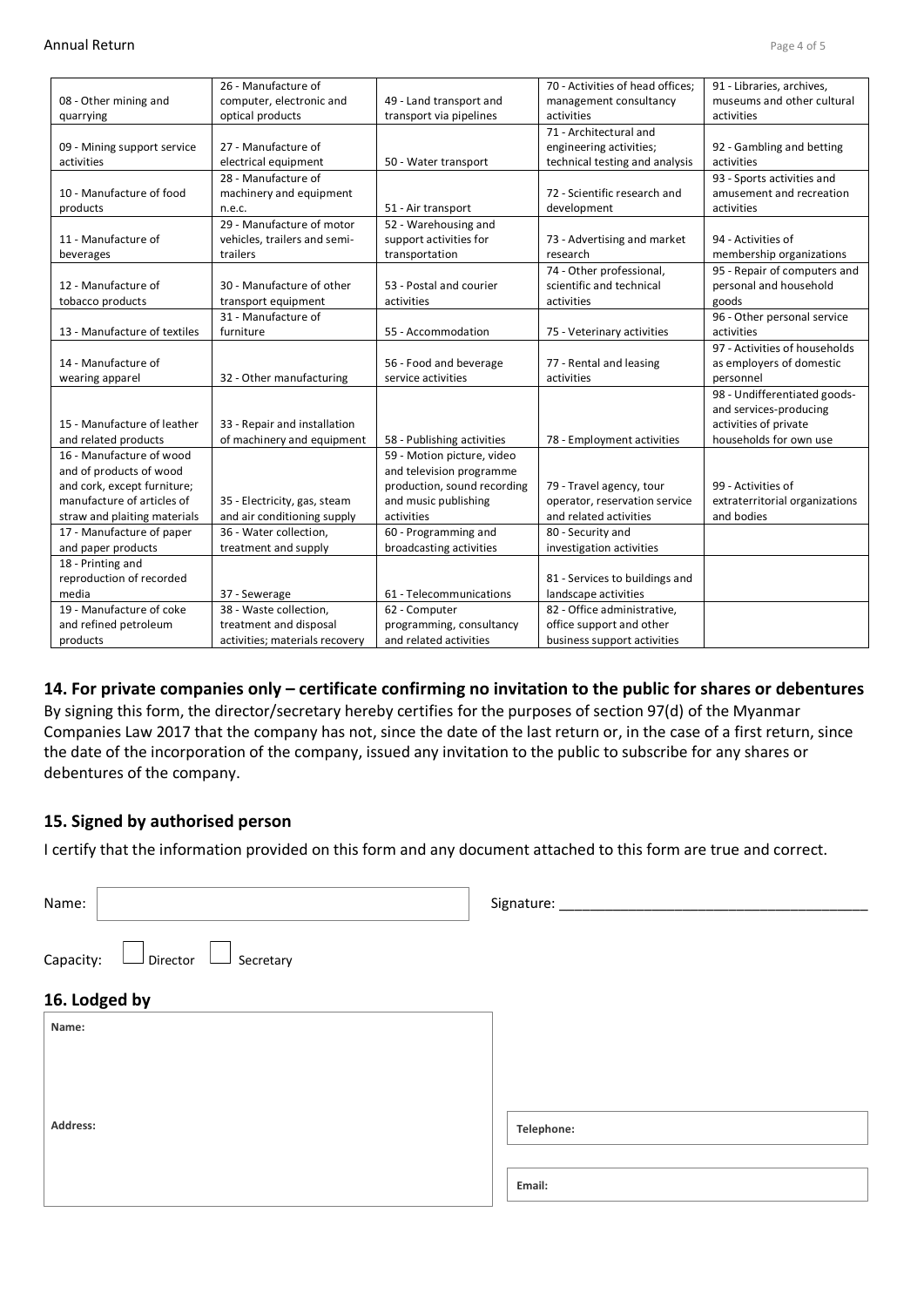|                              | 26 - Manufacture of            |                             | 70 - Activities of head offices; | 91 - Libraries, archives,      |
|------------------------------|--------------------------------|-----------------------------|----------------------------------|--------------------------------|
| 08 - Other mining and        | computer, electronic and       | 49 - Land transport and     | management consultancy           | museums and other cultural     |
| quarrying                    | optical products               | transport via pipelines     | activities                       | activities                     |
|                              |                                |                             | 71 - Architectural and           |                                |
| 09 - Mining support service  | 27 - Manufacture of            |                             | engineering activities;          | 92 - Gambling and betting      |
| activities                   | electrical equipment           | 50 - Water transport        | technical testing and analysis   | activities                     |
|                              | 28 - Manufacture of            |                             |                                  | 93 - Sports activities and     |
| 10 - Manufacture of food     | machinery and equipment        |                             | 72 - Scientific research and     | amusement and recreation       |
| products                     | n.e.c.                         | 51 - Air transport          | development                      | activities                     |
|                              | 29 - Manufacture of motor      | 52 - Warehousing and        |                                  |                                |
| 11 - Manufacture of          | vehicles, trailers and semi-   | support activities for      | 73 - Advertising and market      | 94 - Activities of             |
| beverages                    | trailers                       | transportation              | research                         | membership organizations       |
|                              |                                |                             | 74 - Other professional,         | 95 - Repair of computers and   |
| 12 - Manufacture of          | 30 - Manufacture of other      | 53 - Postal and courier     | scientific and technical         | personal and household         |
| tobacco products             | transport equipment            | activities                  | activities                       | goods                          |
|                              | 31 - Manufacture of            |                             |                                  | 96 - Other personal service    |
| 13 - Manufacture of textiles | furniture                      | 55 - Accommodation          | 75 - Veterinary activities       | activities                     |
|                              |                                |                             |                                  | 97 - Activities of households  |
| 14 - Manufacture of          |                                | 56 - Food and beverage      | 77 - Rental and leasing          | as employers of domestic       |
| wearing apparel              | 32 - Other manufacturing       | service activities          | activities                       | personnel                      |
|                              |                                |                             |                                  | 98 - Undifferentiated goods-   |
|                              |                                |                             |                                  | and services-producing         |
| 15 - Manufacture of leather  | 33 - Repair and installation   |                             |                                  | activities of private          |
| and related products         | of machinery and equipment     | 58 - Publishing activities  | 78 - Employment activities       | households for own use         |
| 16 - Manufacture of wood     |                                | 59 - Motion picture, video  |                                  |                                |
| and of products of wood      |                                | and television programme    |                                  |                                |
| and cork, except furniture;  |                                | production, sound recording | 79 - Travel agency, tour         | 99 - Activities of             |
| manufacture of articles of   | 35 - Electricity, gas, steam   | and music publishing        | operator, reservation service    | extraterritorial organizations |
| straw and plaiting materials | and air conditioning supply    | activities                  | and related activities           | and bodies                     |
| 17 - Manufacture of paper    | 36 - Water collection.         | 60 - Programming and        | 80 - Security and                |                                |
| and paper products           | treatment and supply           | broadcasting activities     | investigation activities         |                                |
| 18 - Printing and            |                                |                             |                                  |                                |
| reproduction of recorded     |                                |                             | 81 - Services to buildings and   |                                |
| media                        | 37 - Sewerage                  | 61 - Telecommunications     | landscape activities             |                                |
| 19 - Manufacture of coke     | 38 - Waste collection,         | 62 - Computer               | 82 - Office administrative,      |                                |
| and refined petroleum        | treatment and disposal         | programming, consultancy    | office support and other         |                                |
| products                     | activities; materials recovery | and related activities      | business support activities      |                                |

#### **14. For private companies only – certificate confirming no invitation to the public for shares or debentures**

By signing this form, the director/secretary hereby certifies for the purposes of section 97(d) of the Myanmar Companies Law 2017 that the company has not, since the date of the last return or, in the case of a first return, since the date of the incorporation of the company, issued any invitation to the public to subscribe for any shares or debentures of the company.

#### **15. Signed by authorised person**

I certify that the information provided on this form and any document attached to this form are true and correct.

| Name:                                     | Signature: ______ |
|-------------------------------------------|-------------------|
| Capacity:<br>Secretary<br>$\Box$ Director |                   |
| 16. Lodged by                             |                   |
| Name:                                     |                   |
|                                           |                   |
|                                           |                   |
| Address:                                  | Telephone:        |
|                                           |                   |
|                                           | Email:            |